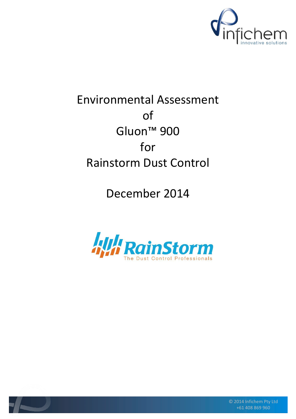

# Environmental Assessment of Gluon™ 900 for Rainstorm Dust Control

December 2014





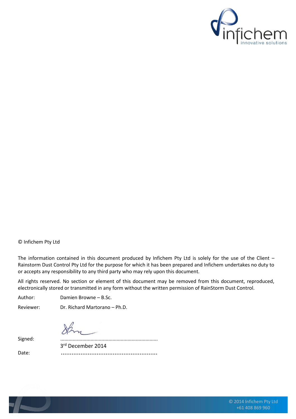

#### © Infichem Pty Ltd

The information contained in this document produced by Infichem Pty Ltd is solely for the use of the Client – Rainstorm Dust Control Pty Ltd for the purpose for which it has been prepared and Infichem undertakes no duty to or accepts any responsibility to any third party who may rely upon this document.

All rights reserved. No section or element of this document may be removed from this document, reproduced, electronically stored or transmitted in any form without the written permission of RainStorm Dust Control.

Author: Damien Browne – B.Sc.

Reviewer: Dr. Richard Martorano – Ph.D.

Signed: ....................................................................... 3 rd December 2014

Date: ......................................................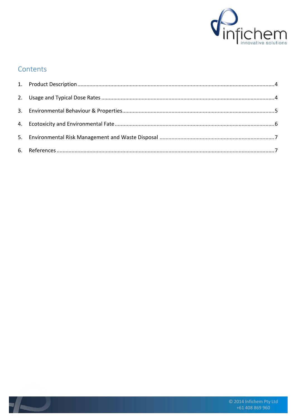

#### Contents

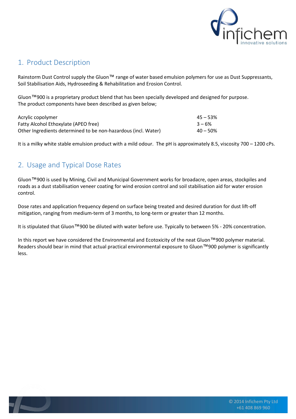

#### <span id="page-3-0"></span>1. Product Description

Rainstorm Dust Control supply the Gluon<sup>™</sup> range of water based emulsion polymers for use as Dust Suppressants, Soil Stabilisation Aids, Hydroseeding & Rehabilitation and Erosion Control.

Gluon™900 is a proprietary product blend that has been specially developed and designed for purpose. The product components have been described as given below;

| Acrylic copolymer                                              | $45 - 53%$  |
|----------------------------------------------------------------|-------------|
| Fatty Alcohol Ethoxylate (APEO free)                           | $3 - 6%$    |
| Other Ingredients determined to be non-hazardous (incl. Water) | $40 - 50\%$ |

It is a milky white stable emulsion product with a mild odour. The pH is approximately 8.5, viscosity 700 – 1200 cPs.

### <span id="page-3-1"></span>2. Usage and Typical Dose Rates

Gluon™900 is used by Mining, Civil and Municipal Government works for broadacre, open areas, stockpiles and roads as a dust stabilisation veneer coating for wind erosion control and soil stabilisation aid for water erosion control.

Dose rates and application frequency depend on surface being treated and desired duration for dust lift-off mitigation, ranging from medium-term of 3 months, to long-term or greater than 12 months.

It is stipulated that Gluon™900 be diluted with water before use. Typically to between 5% - 20% concentration.

In this report we have considered the Environmental and Ecotoxicity of the neat Gluon™900 polymer material. Readers should bear in mind that actual practical environmental exposure to Gluon™900 polymer is significantly less.

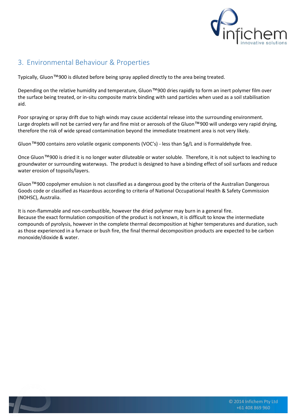

## <span id="page-4-0"></span>3. Environmental Behaviour & Properties

Typically, Gluon™900 is diluted before being spray applied directly to the area being treated.

Depending on the relative humidity and temperature, Gluon™900 dries rapidly to form an inert polymer film over the surface being treated, or in-situ composite matrix binding with sand particles when used as a soil stabilisation aid.

Poor spraying or spray drift due to high winds may cause accidental release into the surrounding environment. Large droplets will not be carried very far and fine mist or aerosols of the Gluon™900 will undergo very rapid drying, therefore the risk of wide spread contamination beyond the immediate treatment area is not very likely.

Gluon™900 contains zero volatile organic components (VOC's) - less than 5g/L and is Formaldehyde free.

Once Gluon™900 is dried it is no longer water diluteable or water soluble. Therefore, it is not subject to leaching to groundwater or surrounding waterways. The product is designed to have a binding effect of soil surfaces and reduce water erosion of topsoils/layers.

Gluon™900 copolymer emulsion is not classified as a dangerous good by the criteria of the Australian Dangerous Goods code or classified as Hazardous according to criteria of National Occupational Health & Safety Commission (NOHSC), Australia.

It is non-flammable and non-combustible, however the dried polymer may burn in a general fire. Because the exact formulation composition of the product is not known, it is difficult to know the intermediate compounds of pyrolysis, however in the complete thermal decomposition at higher temperatures and duration, such as those experienced in a furnace or bush fire, the final thermal decomposition products are expected to be carbon monoxide/dioxide & water.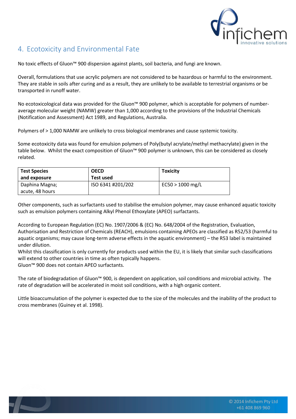

### <span id="page-5-0"></span>4. Ecotoxicity and Environmental Fate

No toxic effects of Gluon<sup>™</sup> 900 dispersion against plants, soil bacteria, and fungi are known.

Overall, formulations that use acrylic polymers are not considered to be hazardous or harmful to the environment. They are stable in soils after curing and as a result, they are unlikely to be available to terrestrial organisms or be transported in runoff water.

No ecotoxicological data was provided for the Gluon™ 900 polymer, which is acceptable for polymers of numberaverage molecular weight (NAMW) greater than 1,000 according to the provisions of the Industrial Chemicals (Notification and Assessment) Act 1989, and Regulations, Australia.

Polymers of > 1,000 NAMW are unlikely to cross biological membranes and cause systemic toxicity.

Some ecotoxicity data was found for emulsion polymers of Poly(butyl acrylate/methyl methacrylate) given in the table below. Whilst the exact composition of Gluon™ 900 polymer is unknown, this can be considered as closely related.

| <b>Test Species</b> | <b>OECD</b>       | <b>Toxicity</b>    |
|---------------------|-------------------|--------------------|
| and exposure        | Test used         |                    |
| Daphina Magna;      | ISO 6341 #201/202 | $EC50 > 1000$ mg/L |
| acute, 48 hours     |                   |                    |

Other components, such as surfactants used to stabilise the emulsion polymer, may cause enhanced aquatic toxicity such as emulsion polymers containing Alkyl Phenol Ethoxylate (APEO) surfactants.

According to European Regulation (EC) No. 1907/2006 & (EC) No. 648/2004 of the Registration, Evaluation, Authorisation and Restriction of Chemicals (REACH), emulsions containing APEOs are classified as R52/53 (harmful to aquatic organisms; may cause long-term adverse effects in the aquatic environment) – the R53 label is maintained under dilution.

Whilst this classification is only currently for products used within the EU, it is likely that similar such classifications will extend to other countries in time as often typically happens.

Gluon™ 900 does not contain APEO surfactants.

The rate of biodegradation of Gluon™ 900, is dependent on application, soil conditions and microbial activity. The rate of degradation will be accelerated in moist soil conditions, with a high organic content.

Little bioaccumulation of the polymer is expected due to the size of the molecules and the inability of the product to cross membranes (Guiney et al. 1998).